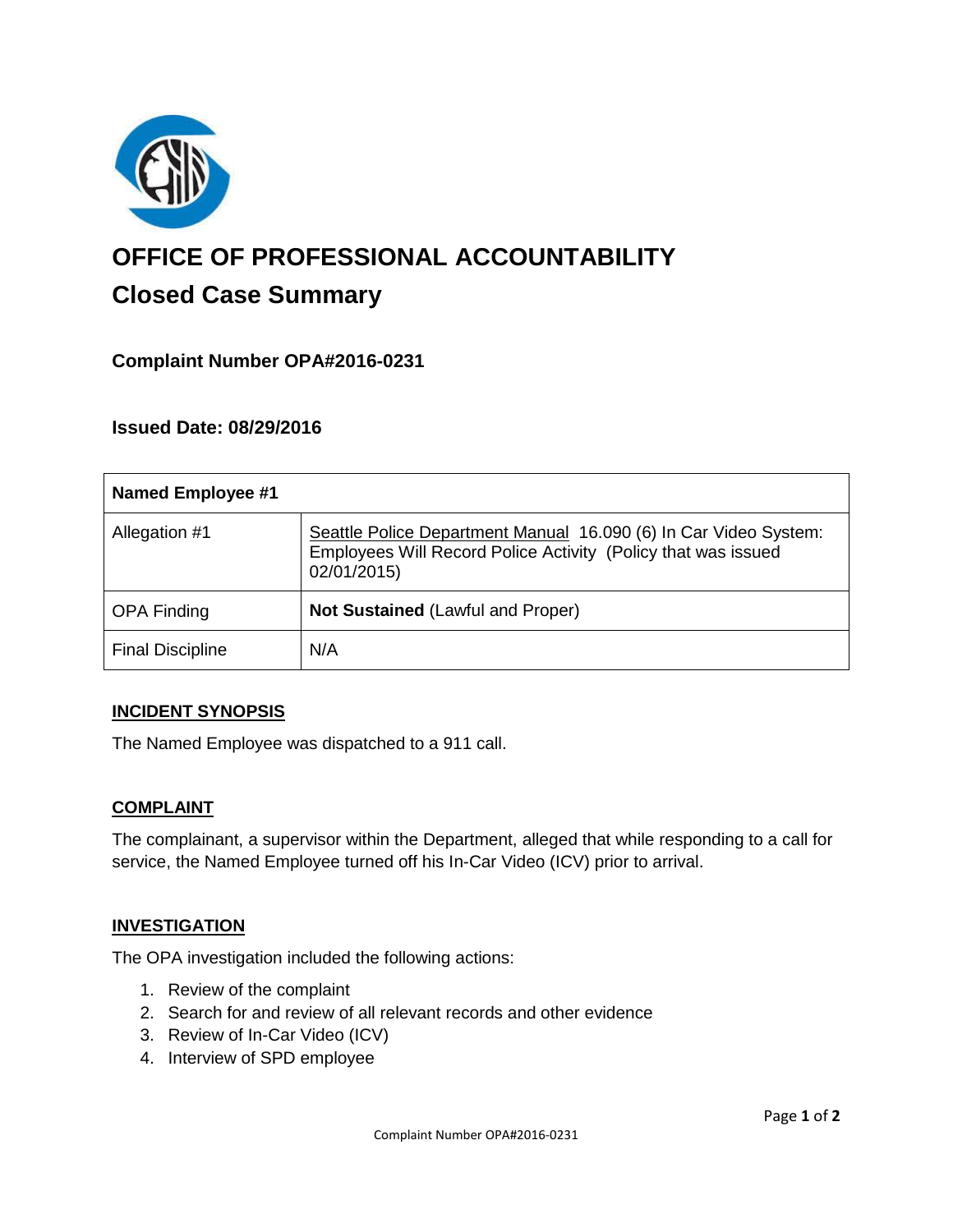

# **OFFICE OF PROFESSIONAL ACCOUNTABILITY Closed Case Summary**

# **Complaint Number OPA#2016-0231**

## **Issued Date: 08/29/2016**

| <b>Named Employee #1</b> |                                                                                                                                                  |
|--------------------------|--------------------------------------------------------------------------------------------------------------------------------------------------|
| Allegation #1            | Seattle Police Department Manual 16.090 (6) In Car Video System:<br>Employees Will Record Police Activity (Policy that was issued<br>02/01/2015) |
| <b>OPA Finding</b>       | Not Sustained (Lawful and Proper)                                                                                                                |
| <b>Final Discipline</b>  | N/A                                                                                                                                              |

## **INCIDENT SYNOPSIS**

The Named Employee was dispatched to a 911 call.

#### **COMPLAINT**

The complainant, a supervisor within the Department, alleged that while responding to a call for service, the Named Employee turned off his In-Car Video (ICV) prior to arrival.

## **INVESTIGATION**

The OPA investigation included the following actions:

- 1. Review of the complaint
- 2. Search for and review of all relevant records and other evidence
- 3. Review of In-Car Video (ICV)
- 4. Interview of SPD employee